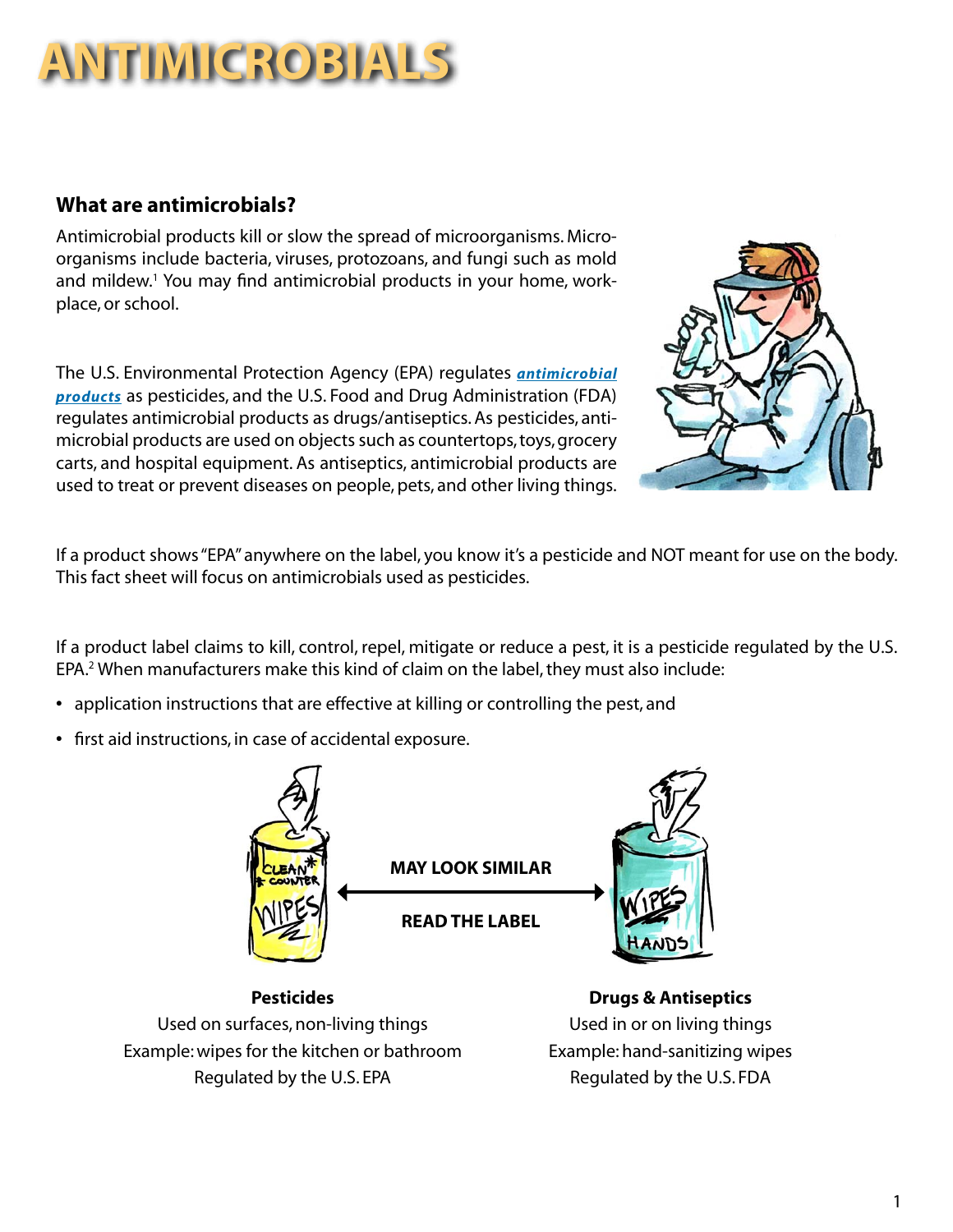# **ANTIMICROBIALS**

### **What are antimicrobials?**

Antimicrobial products kill or slow the spread of microorganisms. Microorganisms include bacteria, viruses, protozoans, and fungi such as mold and mildew.<sup>1</sup> You may find antimicrobial products in your home, workplace, or school.

The U.S. Environmental Protection Agency (EPA) regulates *[antimicrobial](http://npic.orst.edu/ingred/ptype/amicrob/index.html)  [products](http://npic.orst.edu/ingred/ptype/amicrob/index.html)* as pesticides, and the U.S. Food and Drug Administration (FDA) regulates antimicrobial products as drugs/antiseptics. As pesticides, antimicrobial products are used on objects such as countertops, toys, grocery carts, and hospital equipment. As antiseptics, antimicrobial products are used to treat or prevent diseases on people, pets, and other living things.



If a product shows "EPA" anywhere on the label, you know it's a pesticide and NOT meant for use on the body. This fact sheet will focus on antimicrobials used as pesticides.

If a product label claims to kill, control, repel, mitigate or reduce a pest, it is a pesticide regulated by the U.S. EPA.<sup>2</sup> When manufacturers make this kind of claim on the label, they must also include:

- **•** application instructions that are effective at killing or controlling the pest, and
- **•** first aid instructions, in case of accidental exposure.



**Pesticides Drugs & Antiseptics** Used on surfaces, non-living things Used in or on living things Example: wipes for the kitchen or bathroom Example: hand-sanitizing wipes Regulated by the U.S. EPA Regulated by the U.S. FDA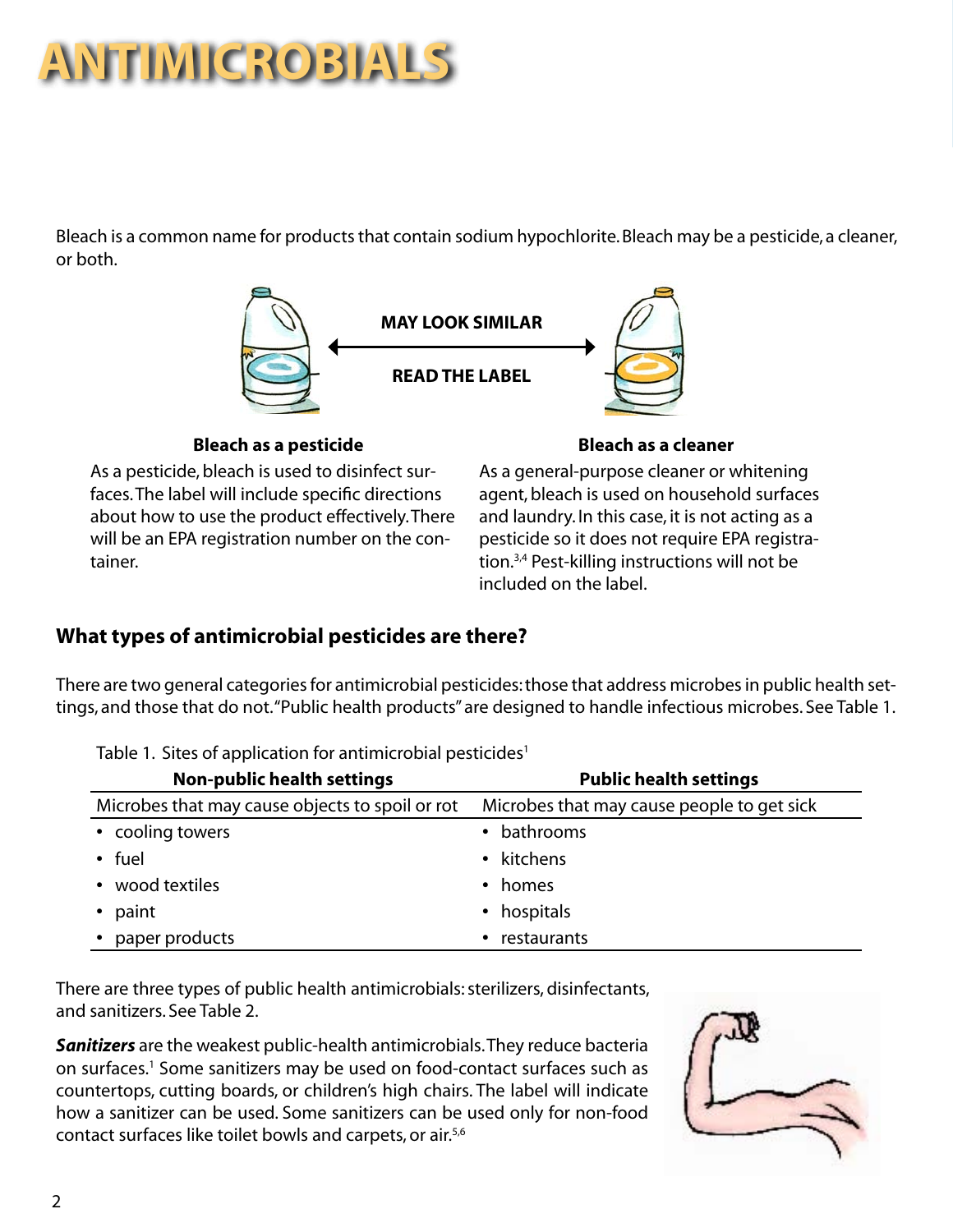# **ANTIMICROBIALS**

Bleach is a common name for products that contain sodium hypochlorite. Bleach may be a pesticide, a cleaner, or both.



### **Bleach as a pesticide Bleach as a cleaner**

As a pesticide, bleach is used to disinfect surfaces. The label will include specific directions about how to use the product effectively. There will be an EPA registration number on the container.

As a general-purpose cleaner or whitening agent, bleach is used on household surfaces and laundry. In this case, it is not acting as a pesticide so it does not require EPA registration.3,4 Pest-killing instructions will not be included on the label.

## **What types of antimicrobial pesticides are there?**

There are two general categories for antimicrobial pesticides: those that address microbes in public health settings, and those that do not. "Public health products" are designed to handle infectious microbes. See Table 1.

| <b>Non-public health settings</b>               | <b>Public health settings</b>              |  |
|-------------------------------------------------|--------------------------------------------|--|
| Microbes that may cause objects to spoil or rot | Microbes that may cause people to get sick |  |
| • cooling towers                                | • bathrooms                                |  |
| $\cdot$ fuel                                    | • kitchens                                 |  |
| • wood textiles                                 | • homes                                    |  |
| • paint                                         | • hospitals                                |  |
| • paper products                                | restaurants                                |  |

Table 1. Sites of application for antimicrobial pesticides<sup>1</sup>

There are three types of public health antimicrobials: sterilizers, disinfectants, and sanitizers. See Table 2.

*Sanitizers* are the weakest public-health antimicrobials. They reduce bacteria on surfaces.<sup>1</sup> Some sanitizers may be used on food-contact surfaces such as countertops, cutting boards, or children's high chairs. The label will indicate how a sanitizer can be used. Some sanitizers can be used only for non-food contact surfaces like toilet bowls and carpets, or air.5,6

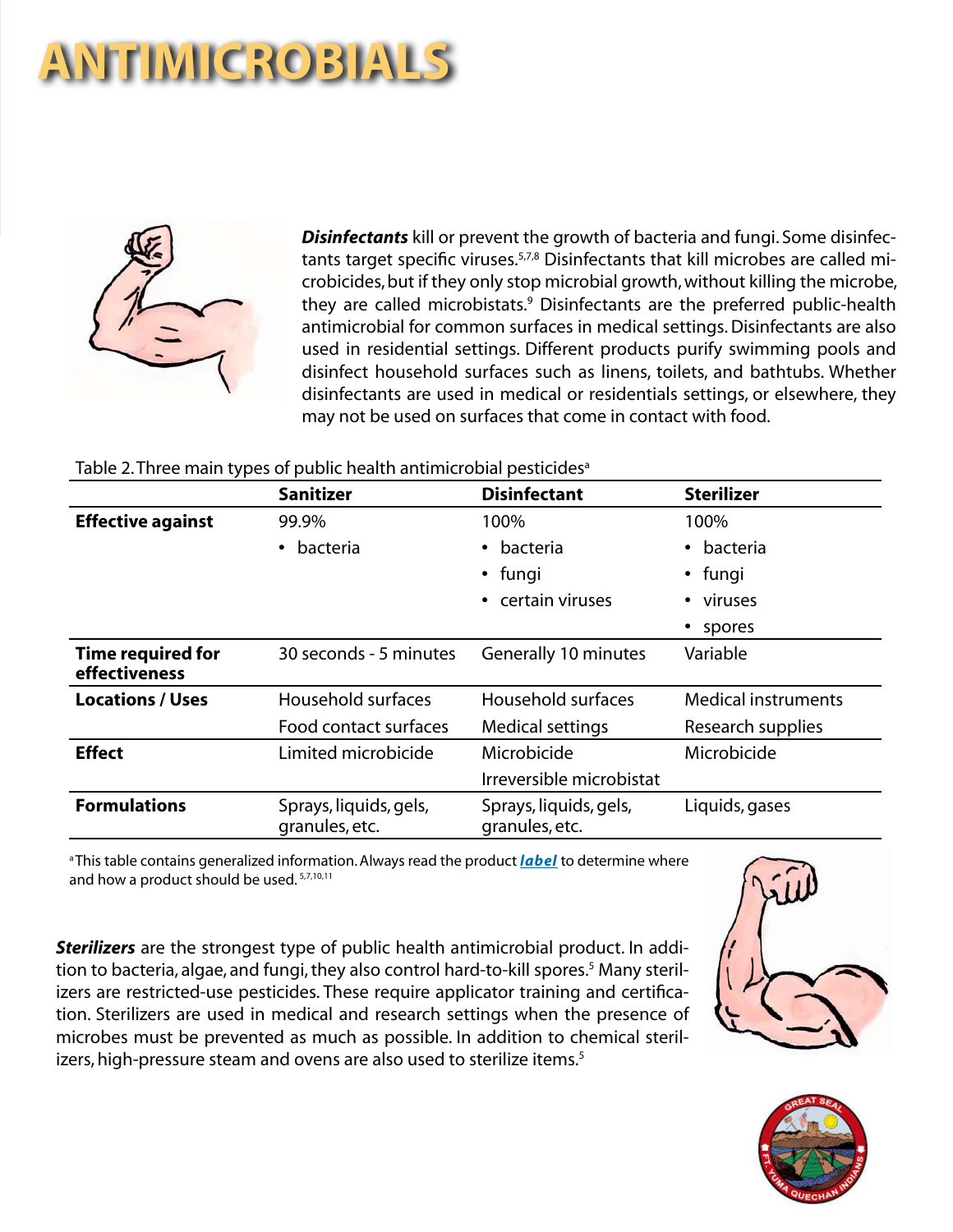# **ANTIMICROBIALS**



*Disinfectants* kill or prevent the growth of bacteria and fungi. Some disinfectants target specific viruses.5,7,8 Disinfectants that kill microbes are called microbicides, but if they only stop microbial growth, without killing the microbe, they are called microbistats.<sup>9</sup> Disinfectants are the preferred public-health antimicrobial for common surfaces in medical settings. Disinfectants are also used in residential settings. Different products purify swimming pools and disinfect household surfaces such as linens, toilets, and bathtubs. Whether disinfectants are used in medical or residentials settings, or elsewhere, they may not be used on surfaces that come in contact with food.

#### Table 2. Three main types of public health antimicrobial pesticides<sup>a</sup>

|                                           | <b>Sanitizer</b>                         | <b>Disinfectant</b>                      | <b>Sterilizer</b>          |
|-------------------------------------------|------------------------------------------|------------------------------------------|----------------------------|
| <b>Effective against</b>                  | 99.9%                                    | 100%                                     | 100%                       |
|                                           | bacteria<br>$\bullet$                    | bacteria                                 | • bacteria                 |
|                                           |                                          | • fungi                                  | • fungi                    |
|                                           |                                          | certain viruses                          | • viruses                  |
|                                           |                                          |                                          | spores                     |
| <b>Time required for</b><br>effectiveness | 30 seconds - 5 minutes                   | Generally 10 minutes                     | Variable                   |
| <b>Locations / Uses</b>                   | Household surfaces                       | Household surfaces                       | <b>Medical instruments</b> |
|                                           | Food contact surfaces                    | Medical settings                         | Research supplies          |
| <b>Effect</b>                             | Limited microbicide                      | Microbicide                              | Microbicide                |
|                                           |                                          | Irreversible microbistat                 |                            |
| <b>Formulations</b>                       | Sprays, liquids, gels,<br>granules, etc. | Sprays, liquids, gels,<br>granules, etc. | Liquids, gases             |

a This table contains generalized information. [Always read the product](http://npic.orst.edu/health/readlabel.html) *label* to determine where and how a product should be used.<sup>5,7,10,11</sup>

*Sterilizers* are the strongest type of public health antimicrobial product. In addition to bacteria, algae, and fungi, they also control hard-to-kill spores.<sup>5</sup> Many sterilizers are restricted-use pesticides. These require applicator training and certification. Sterilizers are used in medical and research settings when the presence of microbes must be prevented as much as possible. In addition to chemical sterilizers, high-pressure steam and ovens are also used to sterilize items.<sup>5</sup>